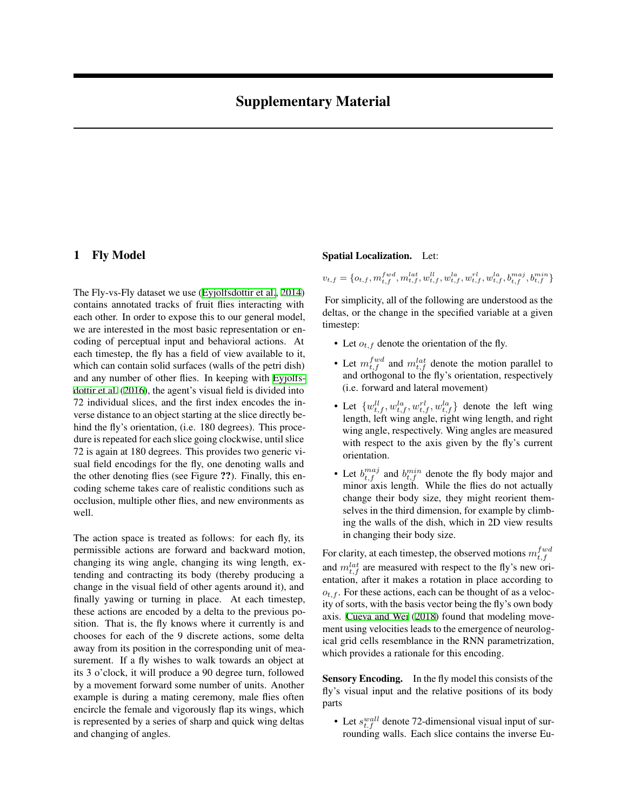# 1 Fly Model

The Fly-vs-Fly dataset we use [\(Eyjolfsdottir et al.](#page-2-0), [2014](#page-2-0)) contains annotated tracks of fruit flies interacting with each other. In order to expose this to our general model, we are interested in the most basic representation or encoding of perceptual input and behavioral actions. At each timestep, the fly has a field of view available to it, which can contain solid surfaces (walls of the petri dish) and any number of other flies. In keeping with [Eyjolfs](#page-2-1)[dottir et al.](#page-2-1) ([2016\)](#page-2-1), the agent's visual field is divided into 72 individual slices, and the first index encodes the inverse distance to an object starting at the slice directly behind the fly's orientation, (i.e. 180 degrees). This procedure is repeated for each slice going clockwise, until slice 72 is again at 180 degrees. This provides two generic visual field encodings for the fly, one denoting walls and the other denoting flies (see Figure ??). Finally, this encoding scheme takes care of realistic conditions such as occlusion, multiple other flies, and new environments as well.

The action space is treated as follows: for each fly, its permissible actions are forward and backward motion, changing its wing angle, changing its wing length, extending and contracting its body (thereby producing a change in the visual field of other agents around it), and finally yawing or turning in place. At each timestep, these actions are encoded by a delta to the previous position. That is, the fly knows where it currently is and chooses for each of the 9 discrete actions, some delta away from its position in the corresponding unit of measurement. If a fly wishes to walk towards an object at its 3 o'clock, it will produce a 90 degree turn, followed by a movement forward some number of units. Another example is during a mating ceremony, male flies often encircle the female and vigorously flap its wings, which is represented by a series of sharp and quick wing deltas and changing of angles.

#### Spatial Localization. Let:

 $v_{t,f} = \{o_{t,f}, m_{t,f}^{fwd}, m_{t,f}^{lat}, w_{t,f}^{ll}, w_{t,f}^{la}, w_{t,f}^{rl}, w_{t,f}^{la}, b_{t,f}^{maj}, b_{t,f}^{min}\}$ 

For simplicity, all of the following are understood as the deltas, or the change in the specified variable at a given timestep:

- Let  $o_{t,f}$  denote the orientation of the fly.
- Let  $m_{t,f}^{fwd}$  and  $m_{t,f}^{lat}$  denote the motion parallel to and orthogonal to the fly's orientation, respectively (i.e. forward and lateral movement)
- Let  $\{w_{t,f}^{ll}, w_{t,f}^{la}, w_{t,f}^{rl}, w_{t,f}^{la}\}$  denote the left wing length, left wing angle, right wing length, and right wing angle, respectively. Wing angles are measured with respect to the axis given by the fly's current orientation.
- Let  $b_{t,f}^{maj}$  and  $b_{t,f}^{min}$  denote the fly body major and minor axis length. While the flies do not actually change their body size, they might reorient themselves in the third dimension, for example by climbing the walls of the dish, which in 2D view results in changing their body size.

For clarity, at each timestep, the observed motions  $m_{t,f}^{fwd}$ and  $m_{t,f}^{lat}$  are measured with respect to the fly's new orientation, after it makes a rotation in place according to  $o_{t,f}$ . For these actions, each can be thought of as a velocity of sorts, with the basis vector being the fly's own body axis. [Cueva and Wei](#page-2-2) ([2018](#page-2-2)) found that modeling movement using velocities leads to the emergence of neurological grid cells resemblance in the RNN parametrization, which provides a rationale for this encoding.

Sensory Encoding. In the fly model this consists of the fly's visual input and the relative positions of its body parts

• Let  $s_{t,f}^{wall}$  denote 72-dimensional visual input of surrounding walls. Each slice contains the inverse Eu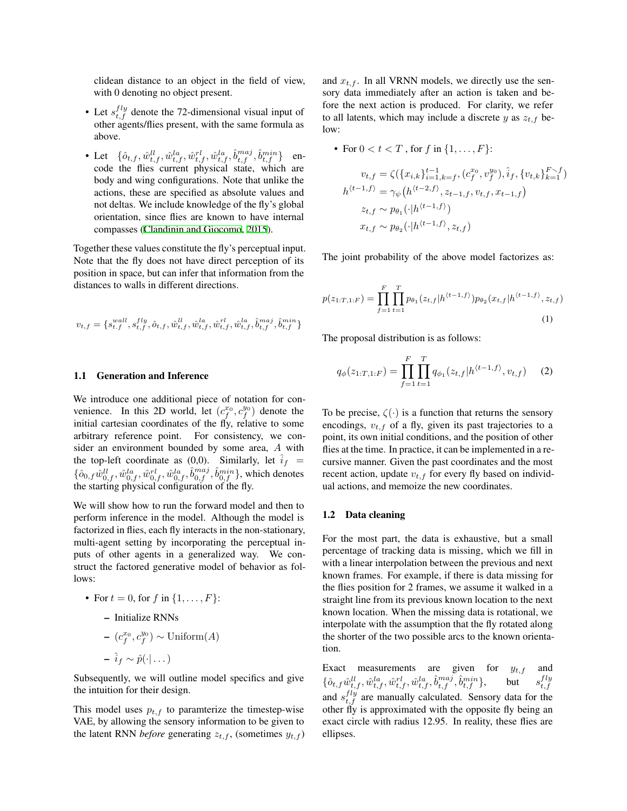clidean distance to an object in the field of view, with 0 denoting no object present.

- Let  $s_{t,f}^{fly}$  denote the 72-dimensional visual input of other agents/flies present, with the same formula as above.
- Let  $\{\hat{o}_{t,f}, \hat{w}_{t,f}^{ll}, \hat{w}_{t,f}^{la}, \hat{w}_{t,f}^{rl}, \hat{w}_{t,f}^{la}, \hat{b}_{t,f}^{maj}, \hat{b}_{t,f}^{min}\}$  encode the flies current physical state, which are body and wing configurations. Note that unlike the actions, these are specified as absolute values and not deltas. We include knowledge of the fly's global orientation, since flies are known to have internal compasses [\(Clandinin and Giocomo](#page-2-3), [2015](#page-2-3)).

Together these values constitute the fly's perceptual input. Note that the fly does not have direct perception of its position in space, but can infer that information from the distances to walls in different directions.

$$
v_{t,f} = \{s_{t,f}^{wall}, s_{t,f}^{fly}, \hat{o}_{t,f}, \hat{w}_{t,f}^{ll}, \hat{w}_{t,f}^{la}, \hat{w}_{t,f}^{rl}, \hat{w}_{t,f}^{la}, \hat{b}_{t,f}^{maj}, \hat{b}_{t,f}^{min}\}
$$

### 1.1 Generation and Inference

We introduce one additional piece of notation for convenience. In this 2D world, let  $(c_f^{x_0}, c_f^{y_0})$  denote the initial cartesian coordinates of the fly, relative to some arbitrary reference point. For consistency, we consider an environment bounded by some area, *A* with the top-left coordinate as  $(0,0)$ . Similarly, let  $i_f =$  $\{\hat{o}_{0,f}\hat{w}_{0,f}^{ll},\hat{w}_{0,f}^{la},\hat{w}_{0,f}^{rl},\hat{w}_{0,f}^{la},\hat{b}_{0,f}^{maj},\hat{b}_{0,f}^{min}\}$ , which denotes the starting physical configuration of the fly.

We will show how to run the forward model and then to perform inference in the model. Although the model is factorized in flies, each fly interacts in the non-stationary, multi-agent setting by incorporating the perceptual inputs of other agents in a generalized way. We construct the factored generative model of behavior as follows:

• For  $t = 0$ , for  $f$  in  $\{1, ..., F\}$ : – Initialize RNNs

$$
- (c_f^{x_0}, c_f^{y_0}) \sim \text{Uniform}(A)
$$
  

$$
- \hat{i}_f \sim \hat{p}(\cdot | \dots)
$$

Subsequently, we will outline model specifics and give the intuition for their design.

This model uses  $p_{t,f}$  to paramterize the timestep-wise VAE, by allowing the sensory information to be given to the latent RNN *before* generating  $z_{t,f}$ , (sometimes  $y_{t,f}$ ) and  $x_{t,f}$ . In all VRNN models, we directly use the sensory data immediately after an action is taken and before the next action is produced. For clarity, we refer to all latents, which may include a discrete  $y$  as  $z_{t,f}$  below:

• For 
$$
0 < t < T
$$
, for  $f$  in  $\{1, \ldots, F\}$ :  
\n
$$
v_{t,f} = \zeta(\{x_{i,k}\}_{i=1,k=f}^{t-1}, (c_f^{x_0}, v_f^{y_0}), \hat{i}_f, \{v_{t,k}\}_{k=1}^{F \smallsetminus f})
$$
\n
$$
h^{\langle t-1,f \rangle} = \gamma_{\psi} \left( h^{\langle t-2,f \rangle}, z_{t-1,f}, v_{t,f}, x_{t-1,f} \right)
$$
\n
$$
z_{t,f} \sim p_{\theta_1}(\cdot | h^{\langle t-1,f \rangle})
$$
\n
$$
x_{t,f} \sim p_{\theta_2}(\cdot | h^{\langle t-1,f \rangle}, z_{t,f})
$$

The joint probability of the above model factorizes as:

$$
p(z_{1:T,1:F}) = \prod_{f=1}^{F} \prod_{t=1}^{T} p_{\theta_1}(z_{t,f}|h^{(t-1,f)}) p_{\theta_2}(x_{t,f}|h^{(t-1,f)}, z_{t,f})
$$
\n(1)

The proposal distribution is as follows:

$$
q_{\phi}(z_{1:T,1:F}) = \prod_{f=1}^{F} \prod_{t=1}^{T} q_{\phi_1}(z_{t,f}|h^{\langle t-1,f \rangle}, v_{t,f}) \quad (2)
$$

To be precise,  $\zeta(\cdot)$  is a function that returns the sensory encodings,  $v_{t,f}$  of a fly, given its past trajectories to a point, its own initial conditions, and the position of other flies at the time. In practice, it can be implemented in a recursive manner. Given the past coordinates and the most recent action, update  $v_{t,f}$  for every fly based on individual actions, and memoize the new coordinates.

#### 1.2 Data cleaning

For the most part, the data is exhaustive, but a small percentage of tracking data is missing, which we fill in with a linear interpolation between the previous and next known frames. For example, if there is data missing for the flies position for 2 frames, we assume it walked in a straight line from its previous known location to the next known location. When the missing data is rotational, we interpolate with the assumption that the fly rotated along the shorter of the two possible arcs to the known orientation.

Exact measurements are given for  $y_{t,f}$  and  $\{\hat{o}_{t,f}\hat{w}_{t,f}^{ll}, \hat{w}_{t,f}^{la}, \hat{w}_{t,f}^{rl}, \hat{w}_{t,f}^{la}, \hat{b}_{t,f}^{maj}, \hat{b}_{t,f}^{min}\}, \text{ \quad but \quad } s_{t,f}^{fly}$ and  $s_{t,f}^{fly}$  are manually calculated. Sensory data for the other fly is approximated with the opposite fly being an exact circle with radius 12.95. In reality, these flies are ellipses.